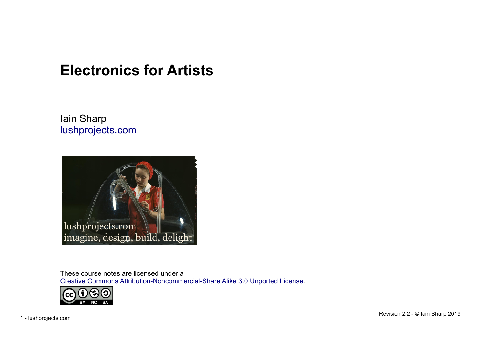# **Electronics for Artists**

Iain Sharp [lushprojects.com](http://www.lushprojects.com/)



These course notes are licensed under a [Creative Commons Attribution-Noncommercial-Share Alike 3.0 Unported License](http://creativecommons.org/licenses/by-nc-sa/3.0/).

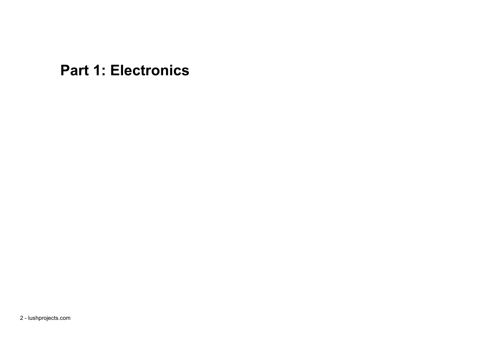**Part 1: Electronics**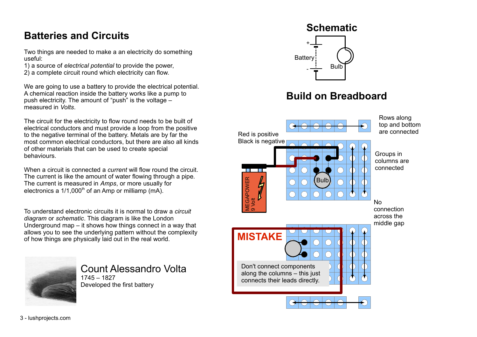#### **Batteries and Circuits**

Two things are needed to make a an electricity do something useful:

- 1) a source of *electrical potential* to provide the power,
- 2) a complete circuit round which electricity can flow.

We are going to use a battery to provide the electrical potential. A chemical reaction inside the battery works like a pump to push electricity. The amount of "push" is the voltage – measured in *Volts*.

The circuit for the electricity to flow round needs to be built of electrical conductors and must provide a loop from the positive to the negative terminal of the battery. Metals are by far the most common electrical conductors, but there are also all kinds of other materials that can be used to create special behaviours.

When a circuit is connected a *current* will flow round the circuit. The current is like the amount of water flowing through a pipe. The current is measured in *Amps*, or more usually for electronics a  $1/1,000^{\text{th}}$  of an Amp or milliamp (mA).

To understand electronic circuits it is normal to draw a *circuit diagram* or *schematic*. This diagram is like the London Underground map – it shows how things connect in a way that allows you to see the underlying pattern without the complexity of how things are physically laid out in the real world.



Count Alessandro Volta 1745 – 1827 Developed the first battery



# **Build on Breadboard**

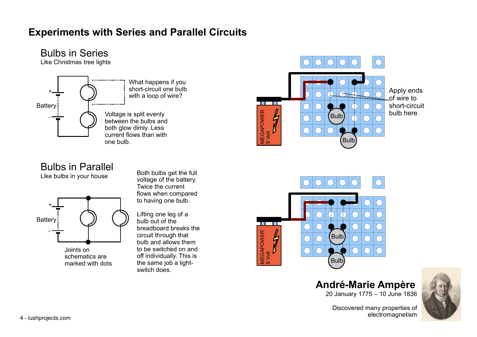# **Experiments with Series and Parallel Circuits**

Bulbs in Series





# Bulbs in Parallel

Like bulbs in your house



Joints on schematics are

Both bulbs get the full voltage of the battery. Twice the current flows when compared to having one bulb.

marked with dots the same job a light-  $\qquad \qquad \blacksquare$ Lifting one leg of a bulb out of the breadboard breaks the circuit through that bulb and allows them to be switched on and off individually. This is switch does.





#### **André-Marie Ampère** 20 January 1775 – 10 June 1836



Discovered many properties of electromagnetism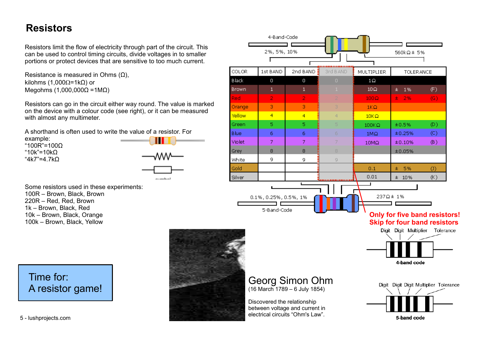#### **Resistors**

Resistors limit the flow of electricity through part of the circuit. This can be used to control timing circuits, divide voltages in to smaller portions or protect devices that are sensitive to too much current.

Resistance is measured in Ohms  $(Ω)$ , kilohms (1,000 $Ω = 1kΩ$ ) or Megohms (1,000,000Ω =1MΩ)

Resistors can go in the circuit either way round. The value is marked on the device with a colour code (see right), or it can be measured with almost any multimeter.

A shorthand is often used to write the value of a resistor. For

example: "100R"=100Ω "10k"=10kΩ "4k7"=4.7kΩ



Some resistors used in these experiments: 100R – Brown, Black, Brown 220R – Red, Red, Brown 1k – Brown, Black, Red 10k – Brown, Black, Orange 100k – Brown, Black, Yellow

4-Band-Code 2%, 5%, 10% 560kQ±5% ........... COLOR 1st BAND 2nd BAND $\frac{3}{2}$ 3rd B AND MULTIPLIER **TOLERANCE** Black  $\Box$  $\Box$  $1\Omega$  $(F)$ **Brown**  $\mathbf{1}$  $\mathbf{1}$  $10\Omega$  $±$  1% Red  $\overline{2}$  $\overline{2}$  $100\Omega$  $\pm$  2%  $(G)$  $\overline{3}$  $\overline{R}$ Orange  $1K\Omega$ Yellow  $\overline{4}$  $\overline{4}$  $10K\Omega$ Green  $\overline{5}$  $\overline{5}$  $±0.5%$  $(D)$  $100K\Omega$ **Blue**  $6<sup>1</sup>$  $6<sup>1</sup>$  $±0.25%$  $(C)$  $1M<sub>2</sub>$  $\overline{7}$  $\overline{7}$ Violet  $(B)$ 10MQ  $±0.10%$ Grey 8 8.  $±0.05%$  $\overline{9}$ White 9  $\Box$ Gold  $±$  5%  $0.1$  $\left( 0\right)$  $0.01$  $±10\%$  $(K)$ Silver 237Q± 1% 0.1%, 0.25%, 0.5%, 1% 5-Band-Code **Only for five band resistors! Skip for four band resistors**Digit Digit Multiplier Tolerance 4-band code Georg Simon Ohm Digit Digit Digit Multiplier Tolerance (16 March 1789 – 6 July 1854) Discovered the relationship between voltage and current in

5-band code

electrical circuits "Ohm's Law".

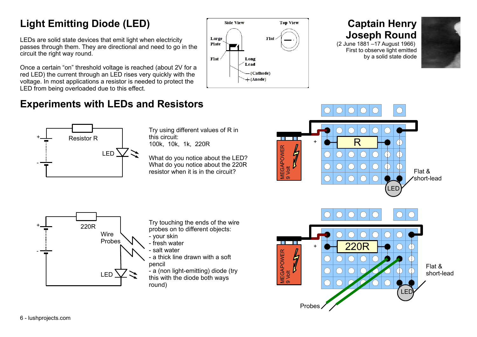# **Light Emitting Diode (LED)**

LEDs are solid state devices that emit light when electricity passes through them. They are directional and need to go in the circuit the right way round.

Once a certain "on" threshold voltage is reached (about 2V for a red LED) the current through an LED rises very quickly with the voltage. In most applications a resistor is needed to protect the LED from being overloaded due to this effect.



# **Captain Henry Joseph Round**

(2 June 1881 –17 August 1966) First to observe light emitted by a solid state diode



# **Experiments with LEDs and Resistors**



Try using different values of R in this circuit: 100k, 10k, 1k, 220R

What do you notice about the LED? What do you notice about the 220R resistor when it is in the circuit?



Try touching the ends of the wire probes on to different objects:

- your skin - fresh water
- salt water
- a thick line drawn with a soft pencil
- a (non light-emitting) diode (try this with the diode both ways  $\frac{1}{2}$  round)

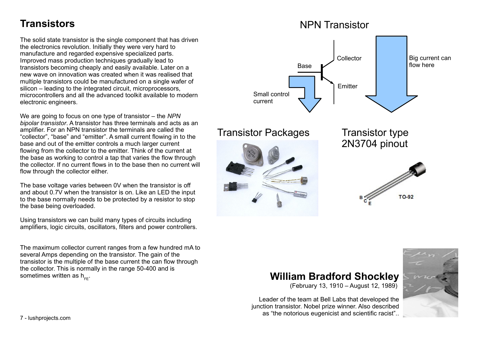#### **Transistors**

The solid state transistor is the single component that has driven the electronics revolution. Initially they were very hard to manufacture and regarded expensive specialized parts. Improved mass production techniques gradually lead to transistors becoming cheaply and easily available. Later on a new wave on innovation was created when it was realised that multiple transistors could be manufactured on a single wafer of silicon – leading to the integrated circuit, microprocessors, microcontrollers and all the advanced toolkit available to modern electronic engineers.

We are going to focus on one type of transistor – the *NPN bipolar transistor*. A transistor has three terminals and acts as an amplifier. For an NPN transistor the terminals are called the "collector", "base" and "emitter". A small current flowing in to the base and out of the emitter controls a much larger current flowing from the collector to the emitter. Think of the current at the base as working to control a tap that varies the flow through the collector. If no current flows in to the base then no current will flow through the collector either.

The base voltage varies between 0V when the transistor is off and about 0.7V when the transistor is on. Like an LED the input to the base normally needs to be protected by a resistor to stop the base being overloaded.

Using transistors we can build many types of circuits including amplifiers, logic circuits, oscillators, filters and power controllers.

The maximum collector current ranges from a few hundred mA to several Amps depending on the transistor. The gain of the transistor is the multiple of the base current the can flow through the collector. This is normally in the range 50-400 and is sometimes written as h<sub>FE</sub>



#### . **William Bradford Shockley**

(February 13, 1910 – August 12, 1989)

Leader of the team at Bell Labs that developed the junction transistor. Nobel prize winner. Also described as "the notorious eugenicist and scientific racist"..

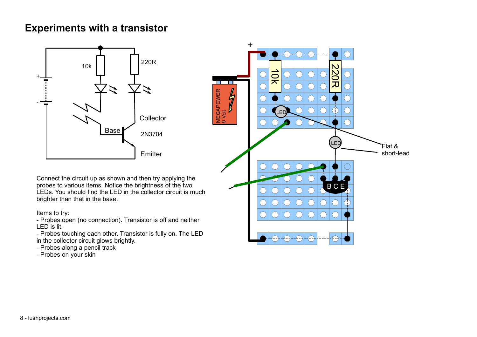#### **Experiments with a transistor**



Connect the circuit up as shown and then try applying the probes to various items. Notice the brightness of the two LEDs. You should find the LED in the collector circuit is much brighter than that in the base.

Items to try:

- Probes open (no connection). Transistor is off and neither LED is lit.

- Probes touching each other. Transistor is fully on. The LED in the collector circuit glows brightly.

- Probes along a pencil track

- Probes on your skin

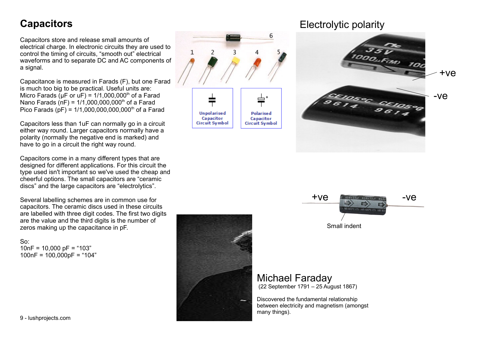#### **Capacitors**

Capacitors store and release small amounts of electrical charge. In electronic circuits they are used to control the timing of circuits, "smooth out" electrical waveforms and to separate DC and AC components of a signal.

Capacitance is measured in Farads (F), but one Farad is much too big to be practical. Useful units are: Micro Farads ( $\mu$ F or  $\mu$ F) = 1/1,000,000<sup>th</sup> of a Farad Nano Farads (nF) =  $1/1,000,000,000$ <sup>th</sup> of a Farad Pico Farads (pF) =  $1/1,000,000,000,000$ <sup>th</sup> of a Farad

Capacitors less than 1uF can normally go in a circuit either way round. Larger capacitors normally have a polarity (normally the negative end is marked) and have to go in a circuit the right way round.

Capacitors come in a many different types that are designed for different applications. For this circuit the type used isn't important so we've used the cheap and cheerful options. The small capacitors are "ceramic discs" and the large capacitors are "electrolytics".

Several labelling schemes are in common use for capacitors. The ceramic discs used in these circuits are labelled with three digit codes. The first two digits are the value and the third digits is the number of zeros making up the capacitance in pF.

So:  $10nF = 10,000 pF = 103$  $100nF = 100.000pF = "104"$ 



#### Electrolytic polarity





### Michael Faraday

(22 September 1791 – 25 August 1867)

Discovered the fundamental relationship between electricity and magnetism (amongst many things).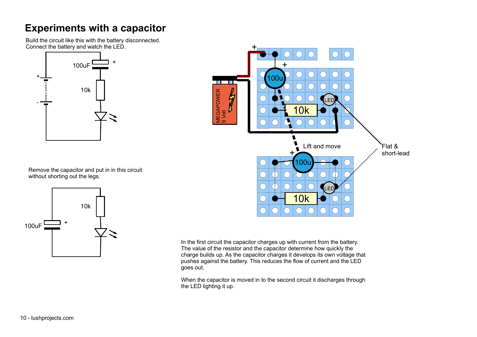#### **Experiments with a capacitor**

Build the circuit like this with the battery disconnected. Connect the battery and watch the LED.



 $\mathsf{\Sigma}\;$ σ e<br>≌ A P O ≶ା E R 9 Volt Flat & short-lead LED 10k LED 10k  $+$  $\pm$ Lift and move  $\pm$ 100i 100u

Remove the capacitor and put in in this circuit without shorting out the legs.



In the first circuit the capacitor charges up with current from the battery. The value of the resistor and the capacitor determine how quickly the charge builds up. As the capacitor charges it develops its own voltage that pushes against the battery. This reduces the flow of current and the LED goes out.

When the capacitor is moved in to the second circuit it discharges through the LED lighting it up.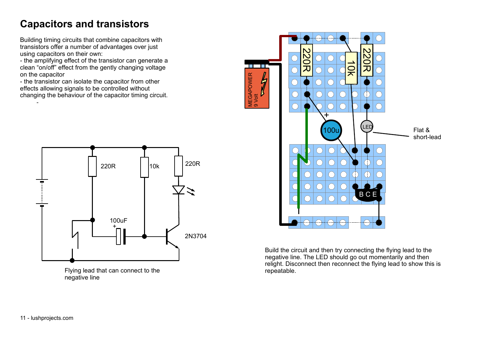# **Capacitors and transistors**

Building timing circuits that combine capacitors with transistors offer a number of advantages over just using capacitors on their own:

- the amplifying effect of the transistor can generate a clean "on/off" effect from the gently changing voltage on the capacitor

- the transistor can isolate the capacitor from other effects allowing signals to be controlled without changing the behaviour of the capacitor timing circuit.



Flying lead that can connect to the negative line



Build the circuit and then try connecting the flying lead to the negative line. The LED should go out momentarily and then relight. Disconnect then reconnect the flying lead to show this is repeatable.

-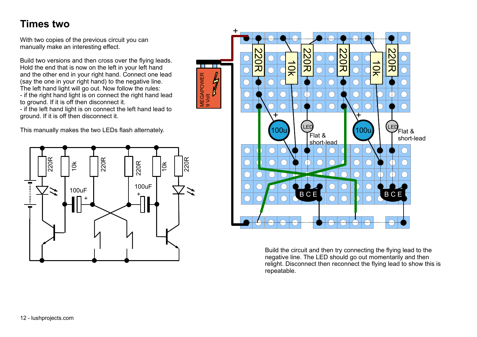#### **Times two**

With two copies of the previous circuit you can manually make an interesting effect.

Build two versions and then cross over the flying leads. Hold the end that is now on the left in your left hand and the other end in your right hand. Connect one lead (say the one in your right hand) to the negative line. The left hand light will go out. Now follow the rules: - if the right hand light is on connect the right hand lead to ground. If it is off then disconnect it.

- if the left hand light is on connect the left hand lead to ground. If it is off then disconnect it.

 $\geq$  σ e<br>≌ A P O ≶ା E R

9 Volt

This manually makes the two LEDs flash alternately.





Build the circuit and then try connecting the flying lead to the negative line. The LED should go out momentarily and then relight. Disconnect then reconnect the flying lead to show this is repeatable.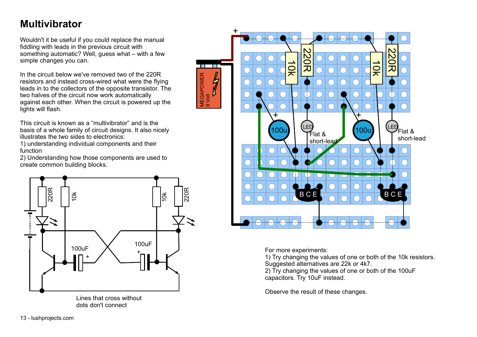# **Multivibrator**

Wouldn't it be useful if you could replace the manual fiddling with leads in the previous circuit with something automatic? Well, guess what – with a few simple changes you can.

In the circuit below we've removed two of the 220R resistors and instead cross-wired what were the flying leads in to the collectors of the opposite transistor. The two halves of the circuit now work automatically against each other. When the circuit is powered up the lights will flash.

 $\geq$  σ e<br>≌ A P O ≶ା E R

9 Volt

This circuit is known as a "multivibrator" and is the basis of a whole family of circuit designs. It also nicely illustrates the two sides to electronics:

1) understanding individual components and their function

2) Understanding how those components are used to create common building blocks.





For more experiments:

1) Try changing the values of one or both of the 10k resistors. Suggested alternatives are 22k or 4k7.

2) Try changing the values of one or both of the 100uF capacitors. Try 10uF instead.

Observe the result of these changes.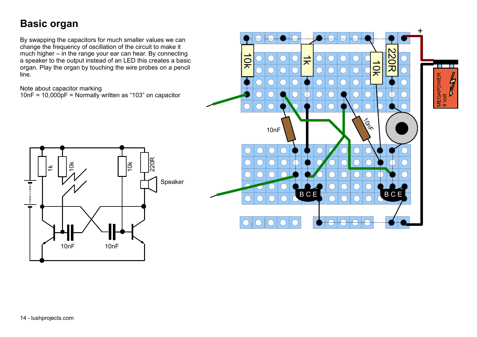### **Basic organ**

By swapping the capacitors for much smaller values we can change the frequency of oscillation of the circuit to make it much higher – in the range your ear can hear. By connecting a speaker to the output instead of an LED this creates a basic organ. Play the organ by touching the wire probes on a pencil line.

Note about capacitor marking

10nF = 10,000pF = Normally written as "103" on capacitor



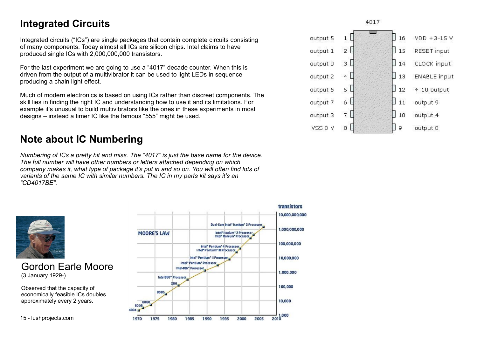#### **Integrated Circuits**

Integrated circuits ("ICs") are single packages that contain complete circuits consisting of many components. Today almost all ICs are silicon chips. Intel claims to have produced single ICs with 2,000,000,000 transistors.

For the last experiment we are going to use a "4017" decade counter. When this is driven from the output of a multivibrator it can be used to light LEDs in sequence producing a chain light effect.

Much of modern electronics is based on using ICs rather than discreet components. The skill lies in finding the right IC and understanding how to use it and its limitations. For example it's unusual to build multivibrators like the ones in these experiments in most designs – instead a timer IC like the famous "555" might be used.

#### **Note about IC Numbering**

*Numbering of ICs a pretty hit and miss. The "4017" is just the base name for the device. The full number will have other numbers or letters attached depending on which company makes it, what type of package it's put in and so on. You will often find lots of variants of the same IC with similar numbers. The IC in my parts kit says it's an "CD4017BE".*



Gordon Earle Moore (3 January 1929-)

Observed that the capacity of economically feasible ICs doubles approximately every 2 years.





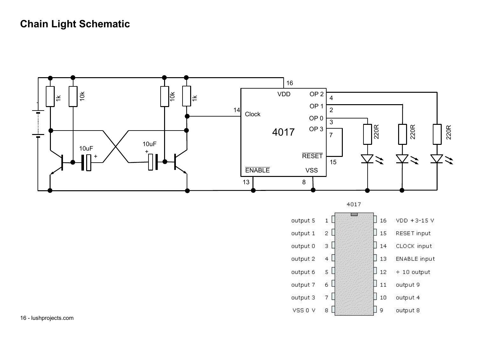#### **Chain Light Schematic**



 $7<sup>0</sup>$ 

 $8$ 

 $\vert$  10

 $\Box$  9

output 4

output 8

output 3

VSS 0 V